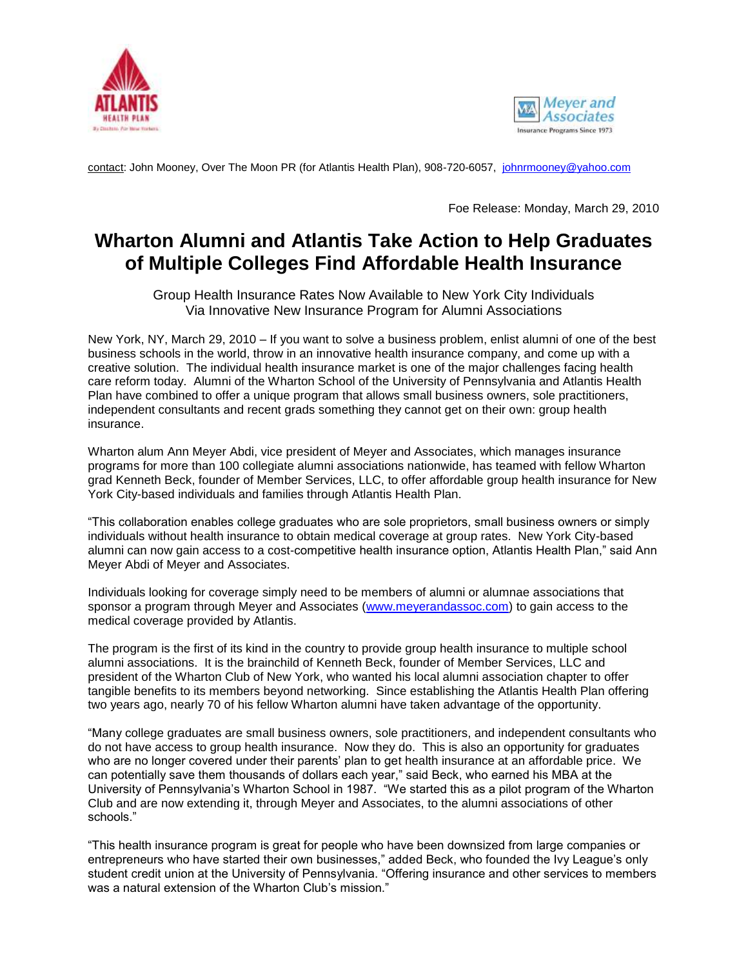



contact: John Mooney, Over The Moon PR (for Atlantis Health Plan), 908-720-6057, [johnrmooney@yahoo.com](mailto:johnrmooney@yahoo.com)

Foe Release: Monday, March 29, 2010

## **Wharton Alumni and Atlantis Take Action to Help Graduates of Multiple Colleges Find Affordable Health Insurance**

Group Health Insurance Rates Now Available to New York City Individuals Via Innovative New Insurance Program for Alumni Associations

New York, NY, March 29, 2010 – If you want to solve a business problem, enlist alumni of one of the best business schools in the world, throw in an innovative health insurance company, and come up with a creative solution. The individual health insurance market is one of the major challenges facing health care reform today. Alumni of the Wharton School of the University of Pennsylvania and Atlantis Health Plan have combined to offer a unique program that allows small business owners, sole practitioners, independent consultants and recent grads something they cannot get on their own: group health insurance.

Wharton alum Ann Meyer Abdi, vice president of Meyer and Associates, which manages insurance programs for more than 100 collegiate alumni associations nationwide, has teamed with fellow Wharton grad Kenneth Beck, founder of Member Services, LLC, to offer affordable group health insurance for New York City-based individuals and families through Atlantis Health Plan.

"This collaboration enables college graduates who are sole proprietors, small business owners or simply individuals without health insurance to obtain medical coverage at group rates. New York City-based alumni can now gain access to a cost-competitive health insurance option, Atlantis Health Plan," said Ann Meyer Abdi of Meyer and Associates.

Individuals looking for coverage simply need to be members of alumni or alumnae associations that sponsor a program through Meyer and Associates [\(www.meyerandassoc.com\)](http://www.meyerandassoc.com/) to gain access to the medical coverage provided by Atlantis.

The program is the first of its kind in the country to provide group health insurance to multiple school alumni associations. It is the brainchild of Kenneth Beck, founder of Member Services, LLC and president of the Wharton Club of New York, who wanted his local alumni association chapter to offer tangible benefits to its members beyond networking. Since establishing the Atlantis Health Plan offering two years ago, nearly 70 of his fellow Wharton alumni have taken advantage of the opportunity.

"Many college graduates are small business owners, sole practitioners, and independent consultants who do not have access to group health insurance. Now they do. This is also an opportunity for graduates who are no longer covered under their parents' plan to get health insurance at an affordable price. We can potentially save them thousands of dollars each year," said Beck, who earned his MBA at the University of Pennsylvania's Wharton School in 1987. "We started this as a pilot program of the Wharton Club and are now extending it, through Meyer and Associates, to the alumni associations of other schools."

"This health insurance program is great for people who have been downsized from large companies or entrepreneurs who have started their own businesses," added Beck, who founded the Ivy League's only student credit union at the University of Pennsylvania. "Offering insurance and other services to members was a natural extension of the Wharton Club's mission."